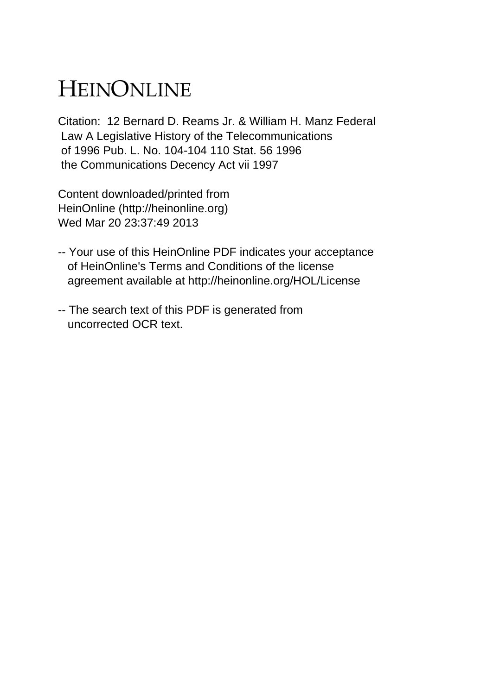# HEINONLINE

Citation: 12 Bernard D. Reams Jr. & William H. Manz Federal Law A Legislative History of the Telecommunications of 1996 Pub. L. No. 104-104 110 Stat. 56 1996 the Communications Decency Act vii 1997

Content downloaded/printed from HeinOnline (http://heinonline.org) Wed Mar 20 23:37:49 2013

- -- Your use of this HeinOnline PDF indicates your acceptance of HeinOnline's Terms and Conditions of the license agreement available at http://heinonline.org/HOL/License
- -- The search text of this PDF is generated from uncorrected OCR text.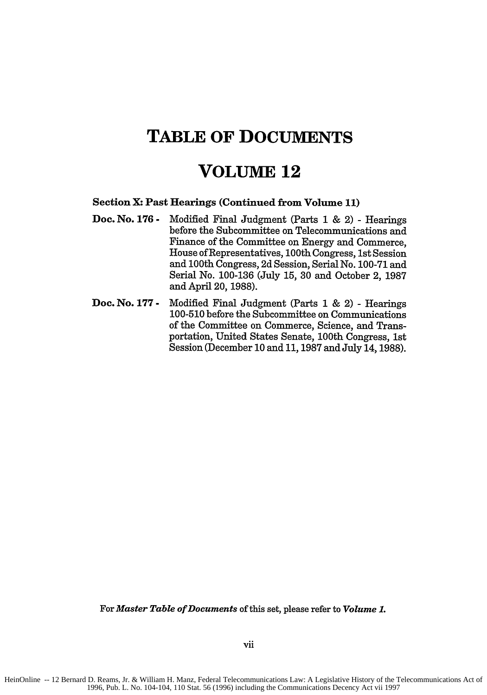### **TABLE OF DOCUMENTS**

#### **VOLUME 12**

#### **Section** M- **Past Hearings (Continued from Volume 11)**

- **Doc. No. 176 -** Modified Final Judgment (Parts **1** & 2) - Hearings before the Subcommittee on Telecommunications and Finance of the Committee on Energy and Commerce, House of Representatives, 100th Congress, 1st Session and 100th Congress, 2d Session, Serial No. 100-71 and Serial No. 100-136 (July **15,** 30 and October 2, 1987 and April 20, 1988).
- **Doc. No. 177 -** Modified Final Judgment (Parts **1** & 2) - Hearings 100-510 before the Subcommittee on Communications of the Committee on Commerce, Science, and Transportation, United States Senate, 100th Congress, 1st Session (December 10 and 11, 1987 and July 14, 1988).

*For Master Table of Documents* of this set, please refer to *Volume 1.*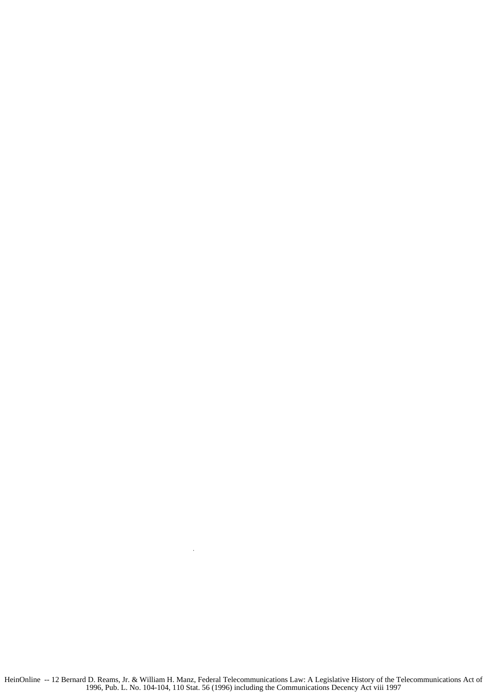HeinOnline -- 12 Bernard D. Reams, Jr. & William H. Manz, Federal Telecommunications Law: A Legislative History of the Telecommunications Act of 1996, Pub. L. No. 104-104, 110 Stat. 56 (1996) including the Communications Decency Act viii 1997

 $\sim$   $\sim$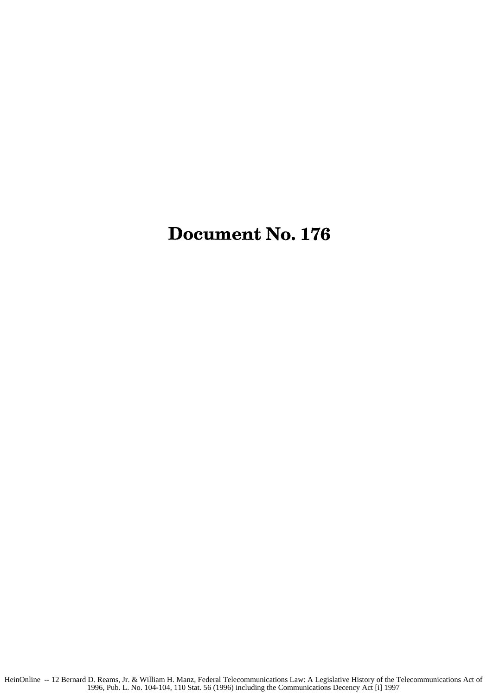## Document No. **176**